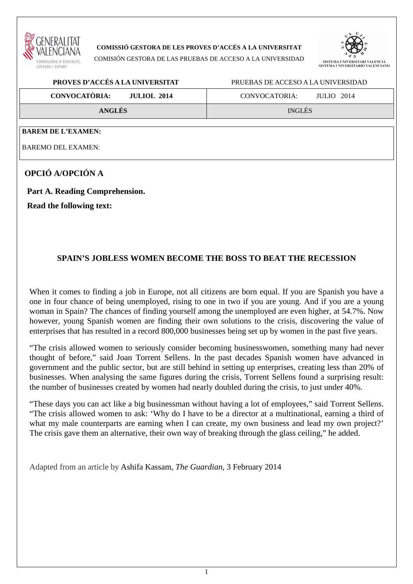

### **COMISSIÓ GESTORA DE LES PROVES D'ACCÉS A LA UNIVERSITAT**

COMISIÓN GESTORA DE LAS PRUEBAS DE ACCESO A LA UNIVERSIDAD



# **PROVES D'ACCÉS A LA UNIVERSITAT** PRUEBAS DE ACCESO A LA UNIVERSIDAD

| <b>CONVOCATÒRIA:</b> | CONVOCATORIA:     |  |  |
|----------------------|-------------------|--|--|
| <b>JULIOL 2014</b>   | <b>JULIO</b> 2014 |  |  |
| ANGLÉS               | <b>INGLÉS</b>     |  |  |

#### **BAREM DE L'EXAMEN:**

BAREMO DEL EXAMEN:

# **OPCIÓ A/OPCIÓN A**

**Part A. Reading Comprehension.** 

**Read the following text:** 

## **SPAIN'S JOBLESS WOMEN BECOME THE BOSS TO BEAT THE RECESSION**

When it comes to finding a job in Europe, not all citizens are born equal. If you are Spanish you have a one in four chance of being unemployed, rising to one in two if you are young. And if you are a young woman in Spain? The chances of finding yourself among the unemployed are even higher, at 54.7%. Now however, young Spanish women are finding their own solutions to the crisis, discovering the value of enterprises that has resulted in a record 800,000 businesses being set up by women in the past five years.

"The crisis allowed women to seriously consider becoming businesswomen, something many had never thought of before," said Joan Torrent Sellens. In the past decades Spanish women have advanced in government and the public sector, but are still behind in setting up enterprises, creating less than 20% of businesses. When analysing the same figures during the crisis, Torrent Sellens found a surprising result: the number of businesses created by women had nearly doubled during the crisis, to just under 40%.

"These days you can act like a big businessman without having a lot of employees," said Torrent Sellens. "The crisis allowed women to ask: 'Why do I have to be a director at a multinational, earning a third of what my male counterparts are earning when I can create, my own business and lead my own project?' The crisis gave them an alternative, their own way of breaking through the glass ceiling," he added.

Adapted from an article by Ashifa Kassam, *The Guardian*, 3 February 2014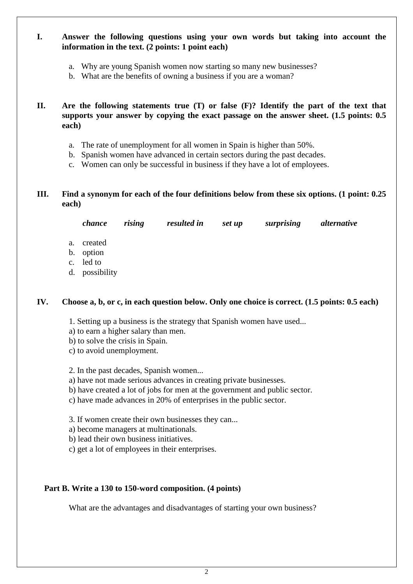# **I. Answer the following questions using your own words but taking into account the information in the text. (2 points: 1 point each)**

- a. Why are young Spanish women now starting so many new businesses?
- b. What are the benefits of owning a business if you are a woman?

**II. Are the following statements true (T) or false (F)? Identify the part of the text that supports your answer by copying the exact passage on the answer sheet. (1.5 points: 0.5 each)** 

- a. The rate of unemployment for all women in Spain is higher than 50%.
- b. Spanish women have advanced in certain sectors during the past decades.
- c. Women can only be successful in business if they have a lot of employees.

## **III. Find a synonym for each of the four definitions below from these six options. (1 point: 0.25 each)**

| chance     | rising | resulted in | set up | surprising | <i>alternative</i> |
|------------|--------|-------------|--------|------------|--------------------|
| a. created |        |             |        |            |                    |

- b. option
- c. led to
- d. possibility

# **IV. Choose a, b, or c, in each question below. Only one choice is correct. (1.5 points: 0.5 each)**

1. Setting up a business is the strategy that Spanish women have used...

- a) to earn a higher salary than men.
- b) to solve the crisis in Spain.
- c) to avoid unemployment.

2. In the past decades, Spanish women...

- a) have not made serious advances in creating private businesses.
- b) have created a lot of jobs for men at the government and public sector.
- c) have made advances in 20% of enterprises in the public sector.

3. If women create their own businesses they can...

a) become managers at multinationals.

b) lead their own business initiatives.

c) get a lot of employees in their enterprises.

# **Part B. Write a 130 to 150-word composition. (4 points)**

What are the advantages and disadvantages of starting your own business?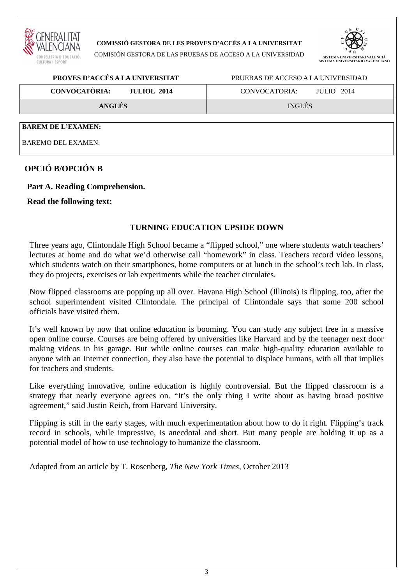

#### **COMISSIÓ GESTORA DE LES PROVES D'ACCÉS A LA UNIVERSITAT**

COMISIÓN GESTORA DE LAS PRUEBAS DE ACCESO A LA UNIVERSIDAD



# **PROVES D'ACCÉS A LA UNIVERSITAT** PRUEBAS DE ACCESO A LA UNIVERSIDAD

| <b>CONVOCATÒRIA:</b> | $JULIO$ 2014  |  |  |
|----------------------|---------------|--|--|
| <b>JULIOL 2014</b>   | CONVOCATORIA: |  |  |
| <b>ANGLÉS</b>        | <b>INGLÉS</b> |  |  |

## **BAREM DE L'EXAMEN:**

BAREMO DEL EXAMEN:

# **OPCIÓ B/OPCIÓN B**

## **Part A. Reading Comprehension.**

### **Read the following text:**

# **TURNING EDUCATION UPSIDE DOWN**

Three years ago, Clintondale High School became a "flipped school," one where students watch teachers' lectures at home and do what we'd otherwise call "homework" in class. Teachers record video lessons, which students watch on their smartphones, home computers or at lunch in the school's tech lab. In class, they do projects, exercises or lab experiments while the teacher circulates.

Now flipped classrooms are popping up all over. Havana High School (Illinois) is flipping, too, after the school superintendent visited Clintondale. The principal of Clintondale says that some 200 school officials have visited them.

It's well known by now that online education is booming. You can study any subject free in a massive open online course. Courses are being offered by universities like Harvard and by the teenager next door making videos in his garage. But while online courses can make high-quality education available to anyone with an Internet connection, they also have the potential to displace humans, with all that implies for teachers and students.

Like everything innovative, online education is highly controversial. But the flipped classroom is a strategy that nearly everyone agrees on. "It's the only thing I write about as having broad positive agreement," said Justin Reich, from Harvard University.

Flipping is still in the early stages, with much experimentation about how to do it right. Flipping's track record in schools, while impressive, is anecdotal and short. But many people are holding it up as a potential model of how to use technology to humanize the classroom.

Adapted from an article by T. Rosenberg, *The New York Times,* October 2013